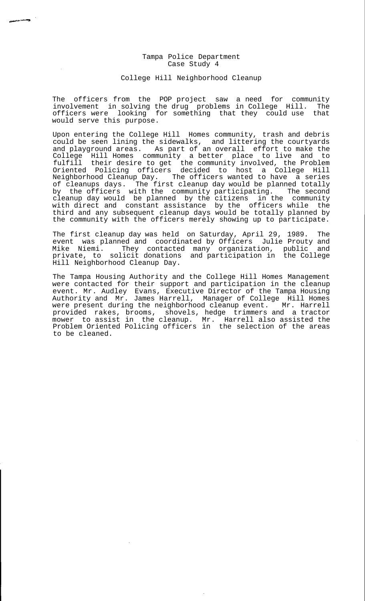## Tampa Police Department Case Study 4

## College Hill Neighborhood Cleanup

The officers from the POP project saw a need for community involvement in solving the drug problems in College Hill. The officers were looking for something that they could use that would serve this purpose.

Upon entering the College Hill Homes community, trash and debris could be seen lining the sidewalks, and littering the courtyards and playground areas. As part of an overall effort to make the College Hill Homes community a better place to live and to fulfill their desire to get the community involved, the Problem Oriented Policing officers decided to host a College Hill Neighborhood Cleanup Day. The officers wanted to have a series of cleanups days. The first cleanup day would be planned totally by the officers with the community participating. The second cleanup day would be planned by the citizens in the community with direct and constant assistance by the officers while the third and any subsequent cleanup days would be totally planned by the community with the officers merely showing up to participate.

The first cleanup day was held on Saturday, April 29, 1989. The event was planned and coordinated by Officers Julie Prouty and Mike Niemi. They contacted many organization, public and private, to solicit donations and participation in the College Hill Neighborhood Cleanup Day.

The Tampa Housing Authority and the College Hill Homes Management were contacted for their support and participation in the cleanup event. Mr. Audley Evans, Executive Director of the Tampa Housing Authority and Mr. James Harrell, Manager of College Hill Homes were present during the neighborhood cleanup event. Mr. Harrell provided rakes, brooms, shovels, hedge trimmers and a tractor mower to assist in the cleanup. Mr. Harrell also assisted the Problem Oriented Policing officers in the selection of the areas to be cleaned.